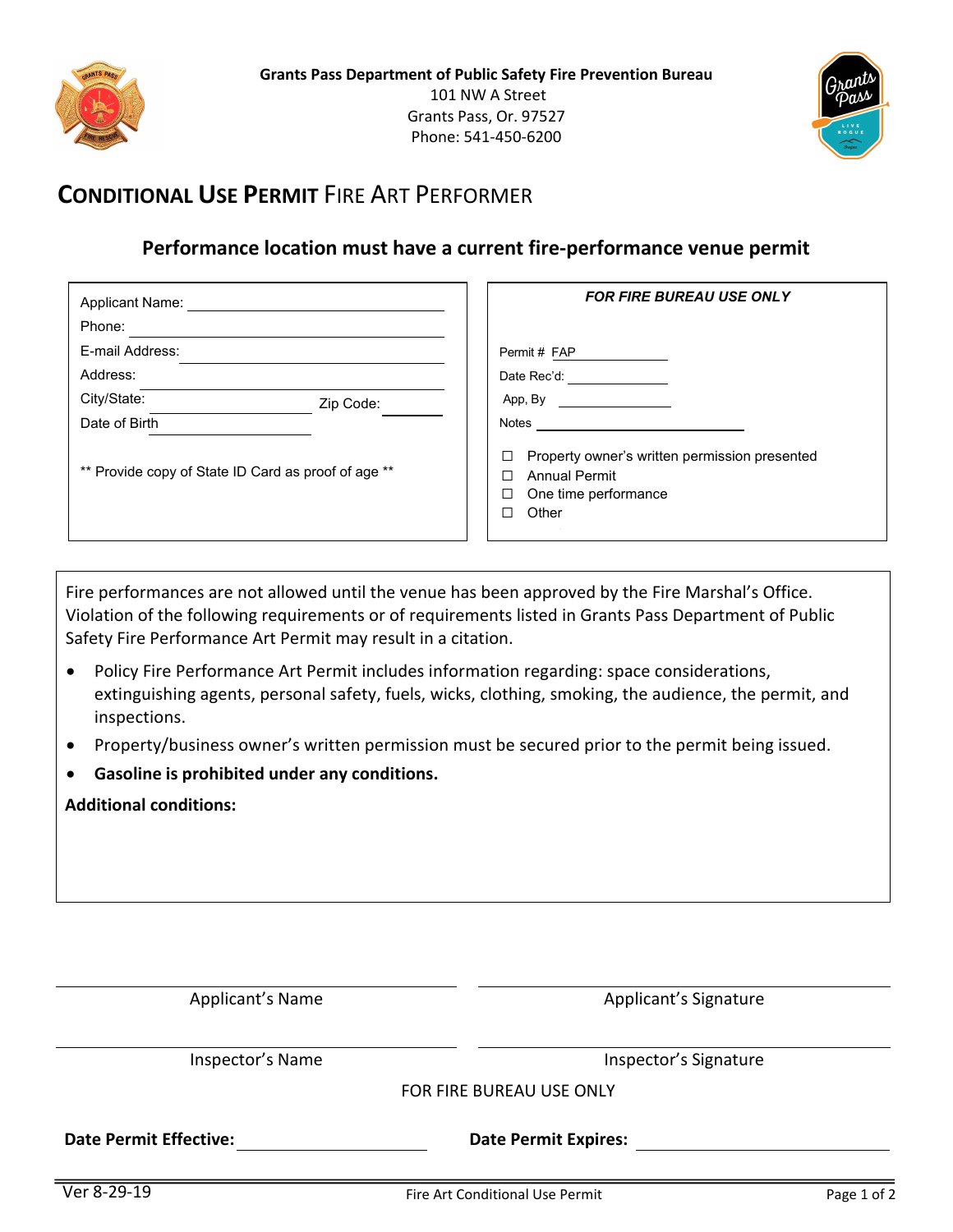



## **CONDITIONAL USE PERMIT** FIRE ART PERFORMER

## **Performance location must have a current fire-performance venue permit**

| <b>Applicant Name:</b>                              | <b>FOR FIRE BUREAU USE ONLY</b>                                                                                  |
|-----------------------------------------------------|------------------------------------------------------------------------------------------------------------------|
| Phone:                                              |                                                                                                                  |
| E-mail Address:                                     | Permit # FAP                                                                                                     |
| Address:                                            | Date Rec'd:                                                                                                      |
| City/State:<br>Zip Code:                            | App, By                                                                                                          |
| Date of Birth                                       | Notes                                                                                                            |
| ** Provide copy of State ID Card as proof of age ** | Property owner's written permission presented<br>□<br><b>Annual Permit</b><br>One time performance<br>□<br>Other |

Fire performances are not allowed until the venue has been approved by the Fire Marshal's Office. Violation of the following requirements or of requirements listed in Grants Pass Department of Public Safety Fire Performance Art Permit may result in a citation.

- Policy Fire Performance Art Permit includes information regarding: space considerations, extinguishing agents, personal safety, fuels, wicks, clothing, smoking, the audience, the permit, and inspections.
- Property/business owner's written permission must be secured prior to the permit being issued.
- **Gasoline is prohibited under any conditions.**

**Additional conditions:**

| <b>Date Permit Expires:</b> |
|-----------------------------|
| FOR FIRE BUREAU USE ONLY    |
| Inspector's Signature       |
| Applicant's Signature       |
|                             |